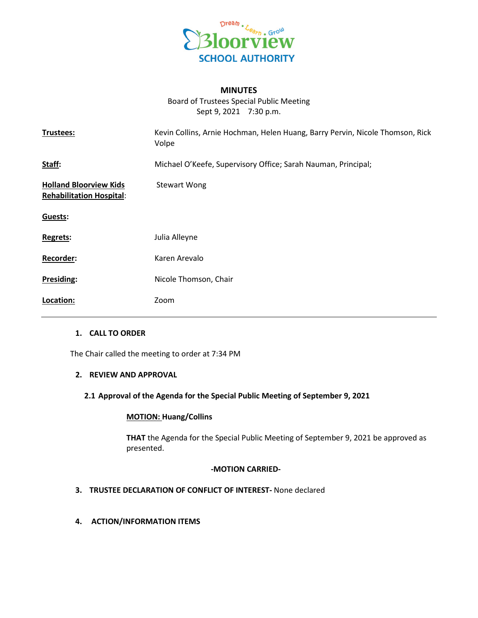

# **MINUTES**

Board of Trustees Special Public Meeting Sept 9, 2021 7:30 p.m.

| Trustees:                                                        | Kevin Collins, Arnie Hochman, Helen Huang, Barry Pervin, Nicole Thomson, Rick<br>Volpe |
|------------------------------------------------------------------|----------------------------------------------------------------------------------------|
| Staff:                                                           | Michael O'Keefe, Supervisory Office; Sarah Nauman, Principal;                          |
| <b>Holland Bloorview Kids</b><br><b>Rehabilitation Hospital:</b> | <b>Stewart Wong</b>                                                                    |
| Guests:                                                          |                                                                                        |
| Regrets:                                                         | Julia Alleyne                                                                          |
| Recorder:                                                        | Karen Arevalo                                                                          |
| Presiding:                                                       | Nicole Thomson, Chair                                                                  |
| Location:                                                        | Zoom                                                                                   |

### **1. CALL TO ORDER**

The Chair called the meeting to order at 7:34 PM

#### **2. REVIEW AND APPROVAL**

### **2.1 Approval of the Agenda for the Special Public Meeting of September 9, 2021**

### **MOTION: Huang/Collins**

**THAT** the Agenda for the Special Public Meeting of September 9, 2021 be approved as presented.

#### **-MOTION CARRIED-**

- **3. TRUSTEE DECLARATION OF CONFLICT OF INTEREST-** None declared
- **4. ACTION/INFORMATION ITEMS**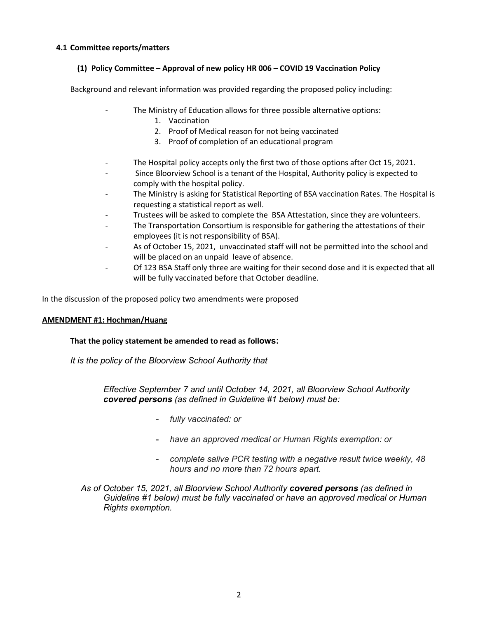# **4.1 Committee reports/matters**

# **(1) Policy Committee – Approval of new policy HR 006 – COVID 19 Vaccination Policy**

Background and relevant information was provided regarding the proposed policy including:

- The Ministry of Education allows for three possible alternative options:
	- 1. Vaccination
	- 2. Proof of Medical reason for not being vaccinated
	- 3. Proof of completion of an educational program
- The Hospital policy accepts only the first two of those options after Oct 15, 2021.
- Since Bloorview School is a tenant of the Hospital, Authority policy is expected to comply with the hospital policy.
- The Ministry is asking for Statistical Reporting of BSA vaccination Rates. The Hospital is requesting a statistical report as well.
- Trustees will be asked to complete the BSA Attestation, since they are volunteers.
- The Transportation Consortium is responsible for gathering the attestations of their employees (it is not responsibility of BSA).
- As of October 15, 2021, unvaccinated staff will not be permitted into the school and will be placed on an unpaid leave of absence.
- Of 123 BSA Staff only three are waiting for their second dose and it is expected that all will be fully vaccinated before that October deadline.

In the discussion of the proposed policy two amendments were proposed

# **AMENDMENT #1: Hochman/Huang**

# **That the policy statement be amended to read as follows:**

*It is the policy of the Bloorview School Authority that*

*Effective September 7 and until October 14, 2021, all Bloorview School Authority covered persons (as defined in Guideline #1 below) must be:*

- **-** *fully vaccinated: or*
- **-** *have an approved medical or Human Rights exemption: or*
- **-** *complete saliva PCR testing with a negative result twice weekly, 48 hours and no more than 72 hours apart.*
- *As of October 15, 2021, all Bloorview School Authority covered persons (as defined in Guideline #1 below) must be fully vaccinated or have an approved medical or Human Rights exemption.*